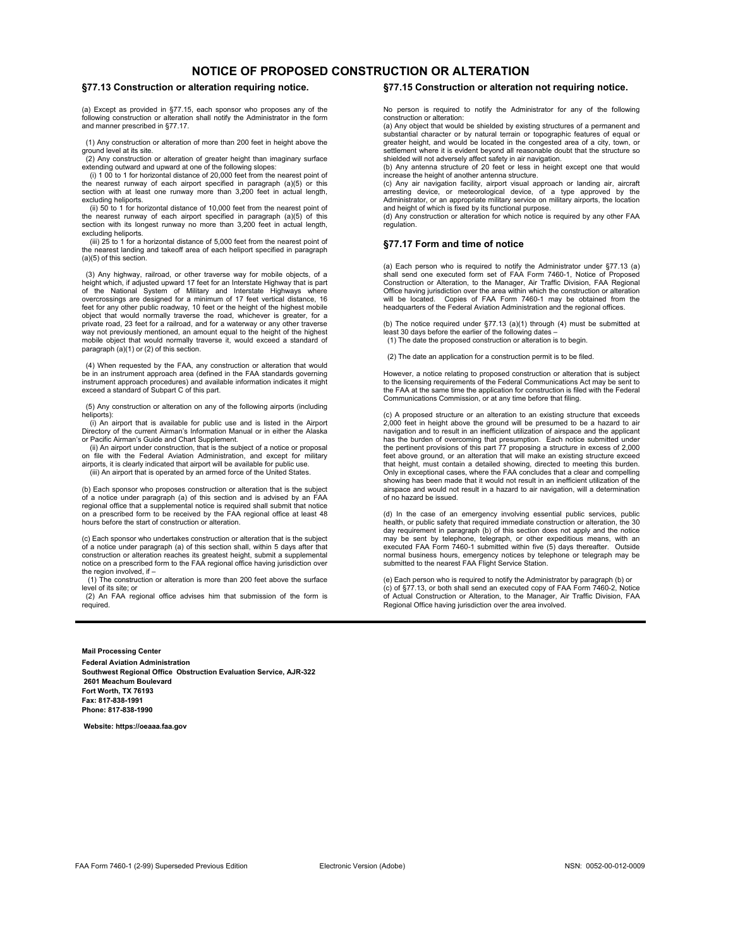# **NOTICE OF PROPOSED CONSTRUCTION OR ALTERATION**

## **§77.13 Construction or alteration requiring notice.**

(a) Except as provided in §77.15, each sponsor who proposes any of the following construction or alteration shall notify the Administrator in the form and manner prescribed in §77.17.

 (1) Any construction or alteration of more than 200 feet in height above the ground level at its site.

(2) Any construction or alteration of greater height than imaginary surface extending outward and upward at one of the following slopes:

 (i) 1 00 to 1 for horizontal distance of 20,000 feet from the nearest point of the nearest runway of each airport specified in paragraph (a)(5) or this section with at least one runway more than 3,200 feet in actual length, excluding heliports.

 (ii) 50 to 1 for horizontal distance of 10,000 feet from the nearest point of the nearest runway of each airport specified in paragraph (a)(5) of this section with its longest runway no more than 3,200 feet in actual length, excluding heliports.

 (iii) 25 to 1 for a horizontal distance of 5,000 feet from the nearest point of the nearest landing and takeoff area of each heliport specified in paragraph (a)(5) of this section.

 (3) Any highway, railroad, or other traverse way for mobile objects, of a height which, if adjusted upward 17 feet for an Interstate Highway that is part<br>of the National System of Military and Interstate Highways where<br>overcrossings are designed for a minimum of 17 feet vertical distance, 16<br>fee object that would normally traverse the road, whichever is greater, for a private road, 23 feet for a railroad, and for a waterway or any other traverse way not previously mentioned, an amount equal to the height of the highest mobile object that would normally traverse it, would exceed a standard of paragraph (a)(1) or (2) of this section.

 (4) When requested by the FAA, any construction or alteration that would be in an instrument approach area (defined in the FAA standards governing instrument approach procedures) and available information indicates it might exceed a standard of Subpart C of this part.

 (5) Any construction or alteration on any of the following airports (including heliports):

 (i) An airport that is available for public use and is listed in the Airport Directory of the current Airman's Information Manual or in either the Alaska or Pacific Airman's Guide and Chart Supplement.

ii) An airport under construction, that is the subject of a notice or proposal)<br>on file with the Federal Aviation Administration, and except for military<br>airports, it is clearly indicated that airport will be available for (iii) An airport that is operated by an armed force of the United States.

(b) Each sponsor who proposes construction or alteration that is the subject of a notice under paragraph (a) of this section and is advised by an FAA regional office that a supplemental notice is required shall submit that notice on a prescribed form to be received by the FAA regional office at least 48

hours before the start of construction or alteration.

(c) Each sponsor who undertakes construction or alteration that is the subject of a notice under paragraph (a) of this section shall, within 5 days after that construction or alteration reaches its greatest height, submit a supplemental notice on a prescribed form to the FAA regional office having jurisdiction over the region involved, if –

 (1) The construction or alteration is more than 200 feet above the surface level of its site; or

 (2) An FAA regional office advises him that submission of the form is required.

#### **§77.15 Construction or alteration not requiring notice.**

No person is required to notify the Administrator for any of the following construction or alteration:

(a) Any object that would be shielded by existing structures of a permanent and substantial character or by natural terrain or topographic features of equal or greater height, and would be located in the congested area of a city, town, or settlement where it is evident beyond all reasonable doubt that the structure so shielded will not adversely affect safety in air navigation.

(b) Any antenna structure of 20 feet or less in height except one that would increase the height of another antenna structure.

(c) Any air navigation facility, airport visual approach or landing air, aircraft arresting device, or meteorological device, of a type approved by the Administrator, or an appropriate military service on military airports, the location and height of which is fixed by its functional purpose.

(d) Any construction or alteration for which notice is required by any other FAA regulation.

## **§77.17 Form and time of notice**

(a) Each person who is required to notify the Administrator under §77.13 (a) shall send one executed form set of FAA Form 7460-1, Notice of Proposed Construction or Alteration, to the Manager, Air Traffic Division, FAA Regional Office having jurisdiction over the area within which the construction or alteration will be located. Copies of FAA Form 7460-1 may be obtained from the headquarters of the Federal Aviation Administration and the regional offices.

(b) The notice required under §77.13 (a)(1) through (4) must be submitted at least 30 days before the earlier of the following dates – (1) The date the proposed construction or alteration is to begin.

(2) The date an application for a construction permit is to be filed.

However, a notice relating to proposed construction or alteration that is subject to the licensing requirements of the Federal Communications Act may be sent to the FAA at the same time the application for construction is filed with the Federal Communications Commission, or at any time before that filing.

(c) A proposed structure or an alteration to an existing structure that exceeds 2,000 feet in height above the ground will be presumed to be a hazard to air navigation and to result in an inefficient utilization of airspace and the applicant has the burden of overcoming that presumption. Each notice submitted under the pertinent provisions of this part 77 proposing a structure in excess of 2,000 feet above ground, or an alteration that will make an existing structure exceed that height, must contain a detailed showing, directed to meeting this burden. Only in exceptional cases, where the FAA concludes that a clear and compelling showing has been made that it would not result in an inefficient utilization of the airspace and would not result in a hazard to air navigation, will a determination of no hazard be issued.

(d) In the case of an emergency involving essential public services, public health, or public safety that required immediate construction or alteration, the 30 day requirement in paragraph (b) of this section does not apply and the notice may be sent by telephone, telegraph, or other expeditious means, with an executed FAA Form 7460-1 submitted within five (5) days thereafter. Outside normal business hours, emergency notices by telephone or telegraph may be submitted to the nearest FAA Flight Service Station.

(e) Each person who is required to notify the Administrator by paragraph (b) or (c) of §77.13, or both shall send an executed copy of FAA Form 7460-2, Notice of Actual Construction or Alteration, to the Manager, Air Traffic Division, FAA Regional Office having jurisdiction over the area involved.

**Mail Processing Center Federal Aviation Administration Southwest Regional Office Obstruction Evaluation Service, AJR-322 2601 Meachum Boulevard Fort Worth, TX 76193 Fax: 817-838-1991 Phone: 817-838-1990**

 **Website: https://oeaaa.faa.gov**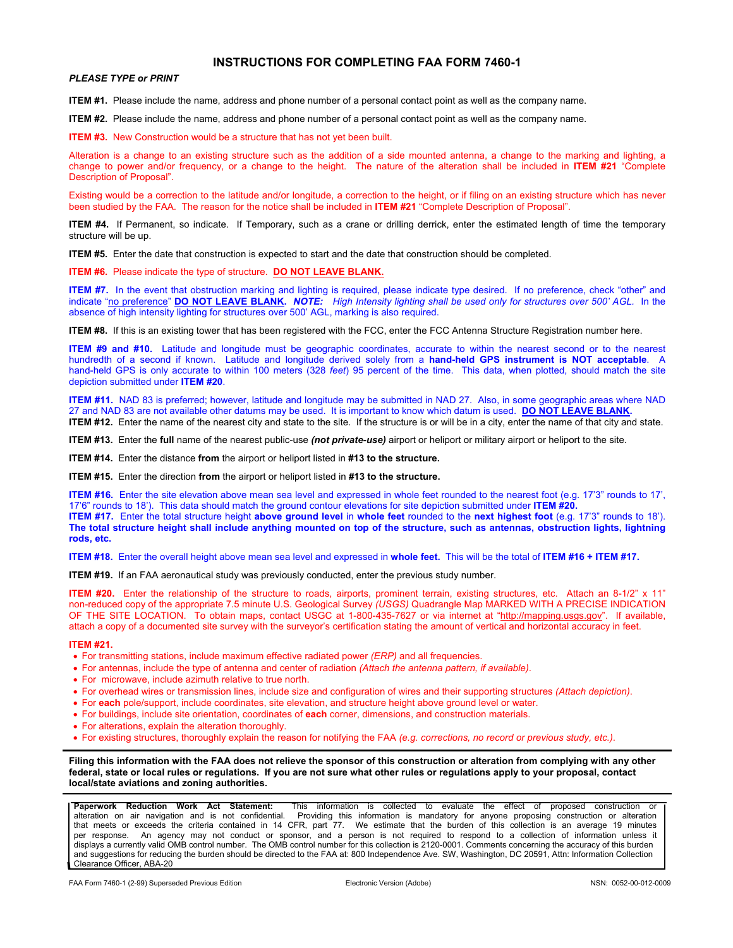## **INSTRUCTIONS FOR COMPLETING FAA FORM 7460-1**

*PLEASE TYPE or PRINT* 

**ITEM #1.** Please include the name, address and phone number of a personal contact point as well as the company name.

**ITEM #2.** Please include the name, address and phone number of a personal contact point as well as the company name.

**ITEM #3.** New Construction would be a structure that has not yet been built.

Alteration is a change to an existing structure such as the addition of a side mounted antenna, a change to the marking and lighting, a change to power and/or frequency, or a change to the height. The nature of the alteration shall be included in **ITEM #21** "Complete Description of Proposal".

Existing would be a correction to the latitude and/or longitude, a correction to the height, or if filing on an existing structure which has never been studied by the FAA. The reason for the notice shall be included in **ITEM #21** "Complete Description of Proposal".

**ITEM #4.** If Permanent, so indicate. If Temporary, such as a crane or drilling derrick, enter the estimated length of time the temporary structure will be up.

**ITEM #5.** Enter the date that construction is expected to start and the date that construction should be completed.

**ITEM #6.** Please indicate the type of structure. **DO NOT LEAVE BLANK.**

**ITEM #7.** In the event that obstruction marking and lighting is required, please indicate type desired. If no preference, check "other" and indicate "no preference" **DO NOT LEAVE BLANK.** *NOTE: High Intensity lighting shall be used only for structures over 500' AGL.* In the absence of high intensity lighting for structures over 500' AGL, marking is also required.

**ITEM #8.** If this is an existing tower that has been registered with the FCC, enter the FCC Antenna Structure Registration number here.

**ITEM #9 and #10.** Latitude and longitude must be geographic coordinates, accurate to within the nearest second or to the nearest hundredth of a second if known. Latitude and longitude derived solely from a **hand-held GPS instrument is NOT acceptable**. A hand-held GPS is only accurate to within 100 meters (328 *feet*) 95 percent of the time. This data, when plotted, should match the site depiction submitted under **ITEM #20**.

**ITEM #11.** NAD 83 is preferred; however, latitude and longitude may be submitted in NAD 27. Also, in some geographic areas where NAD 27 and NAD 83 are not available other datums may be used. It is important to know which datum is used. **DO NOT LEAVE BLANK. ITEM #12.** Enter the name of the nearest city and state to the site. If the structure is or will be in a city, enter the name of that city and state.

**ITEM #13.** Enter the **full** name of the nearest public-use *(not private-use)* airport or heliport or military airport or heliport to the site.

**ITEM #14.** Enter the distance **from** the airport or heliport listed in **#13 to the structure.** 

**ITEM #15.** Enter the direction **from** the airport or heliport listed in **#13 to the structure.** 

**ITEM #16.** Enter the site elevation above mean sea level and expressed in whole feet rounded to the nearest foot (e.g. 17'3" rounds to 17', 17'6" rounds to 18'). This data should match the ground contour elevations for site depiction submitted under **ITEM #20.** 

**ITEM #17.** Enter the total structure height **above ground level** in **whole feet** rounded to the **next highest foot** (e.g. 17'3" rounds to 18'). **The total structure height shall include anything mounted on top of the structure, such as antennas, obstruction lights, lightning rods, etc.** 

**ITEM #18.** Enter the overall height above mean sea level and expressed in **whole feet.** This will be the total of **ITEM #16 + ITEM #17.** 

**ITEM #19.** If an FAA aeronautical study was previously conducted, enter the previous study number.

**ITEM #20.** Enter the relationship of the structure to roads, airports, prominent terrain, existing structures, etc. Attach an 8-1/2" x 11" non-reduced copy of the appropriate 7.5 minute U.S. Geological Survey *(USGS)* Quadrangle Map MARKED WITH A PRECISE INDICATION OF THE SITE LOCATION. To obtain maps, contact USGC at 1-800-435-7627 or via internet at ["http://mapping.usgs.gov](http://mapping.usgs.gov/)". If available, attach a copy of a documented site survey with the surveyor's certification stating the amount of vertical and horizontal accuracy in feet.

#### **ITEM #21.**

- For transmitting stations, include maximum effective radiated power *(ERP)* and all frequencies.
- For antennas, include the type of antenna and center of radiation *(Attach the antenna pattern, if available)*.
- For microwave, include azimuth relative to true north.
- For overhead wires or transmission lines, include size and configuration of wires and their supporting structures *(Attach depiction)*.
- For **each** pole/support, include coordinates, site elevation, and structure height above ground level or water.
- For buildings, include site orientation, coordinates of **each** corner, dimensions, and construction materials.
- For alterations, explain the alteration thoroughly.
- For existing structures, thoroughly explain the reason for notifying the FAA *(e.g. corrections, no record or previous study, etc.)*.

**Filing this information with the FAA does not relieve the sponsor of this construction or alteration from complying with any other federal, state or local rules or regulations. If you are not sure what other rules or regulations apply to your proposal, contact local/state aviations and zoning authorities.** 

**Paperwork Reduction Work Act Statement:** This information is collected to evaluate the effect of proposed construction or<br>alteration on air navigation and is not confidential. Providing this information is mandatory for a alteration on air navigation and is not confidential. Providing this information is mandatory for anyone proposing construction or alteration that meets or exceeds the criteria contained in 14 CFR, part 77. We estimate that the burden of this collection is an average 19 minutes per response. An agency may not conduct or sponsor, and a person is not required to respond to a collection of information unless it displays a currently valid OMB control number. The OMB control number for this collection is 2120-0001. Comments concerning the accuracy of this burden and suggestions for reducing the burden should be directed to the FAA at: 800 Independence Ave. SW, Washington, DC 20591, Attn: Information Collection Clearance Officer, ABA-20